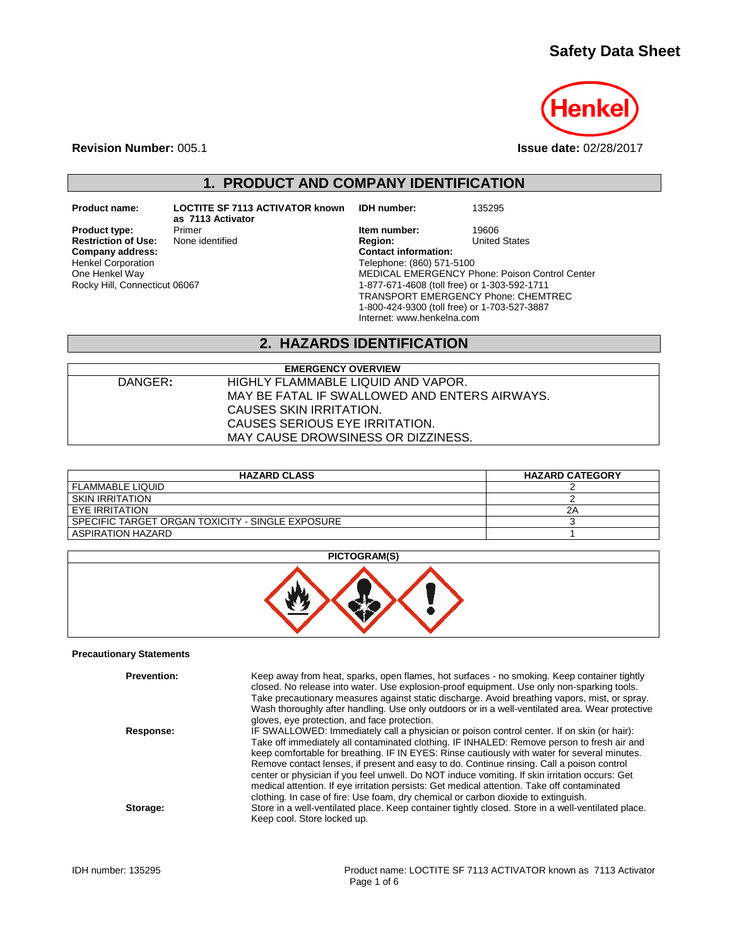# **Safety Data Sheet**



**Revision Number:** 005.1 **Issue date:** 02/28/2017

**1. PRODUCT AND COMPANY IDENTIFICATION**

**Restriction of Use:**<br>Company address: Henkel Corporation One Henkel Way Rocky Hill, Connecticut 06067

**Product name: LOCTITE SF 7113 ACTIVATOR known as 7113 Activator**

**IDH number:** 135295

**Product type:** Primer **Primer** *Product type:* Primer **Item number:** 19606<br> **Restriction of Use:** None identified **Integral Product Product Product** Product Product Product Product Product Pro **Company address: Contact information:** Telephone: (860) 571-5100 MEDICAL EMERGENCY Phone: Poison Control Center 1-877-671-4608 (toll free) or 1-303-592-1711 TRANSPORT EMERGENCY Phone: CHEMTREC 1-800-424-9300 (toll free) or 1-703-527-3887 Internet: www.henkelna.com

## **2. HAZARDS IDENTIFICATION**

|         | <b>EMERGENCY OVERVIEW</b>                     |  |
|---------|-----------------------------------------------|--|
| DANGER: | HIGHLY FLAMMABLE LIQUID AND VAPOR.            |  |
|         | MAY BE FATAL IF SWALLOWED AND ENTERS AIRWAYS. |  |
|         | CAUSES SKIN IRRITATION.                       |  |
|         | CAUSES SERIOUS EYE IRRITATION.                |  |
|         | MAY CAUSE DROWSINESS OR DIZZINESS.            |  |

| <b>HAZARD CLASS</b>                              | <b>HAZARD CATEGORY</b> |
|--------------------------------------------------|------------------------|
| <b>FLAMMABLE LIQUID</b>                          |                        |
| SKIN IRRITATION                                  |                        |
| EYE IRRITATION                                   | 2Α                     |
| SPECIFIC TARGET ORGAN TOXICITY - SINGLE EXPOSURE |                        |
| ASPIRATION HAZARD                                |                        |

### **PICTOGRAM(S)**



#### **Precautionary Statements**

| <b>Prevention:</b> | Keep away from heat, sparks, open flames, hot surfaces - no smoking. Keep container tightly<br>closed. No release into water. Use explosion-proof equipment. Use only non-sparking tools.<br>Take precautionary measures against static discharge. Avoid breathing vapors, mist, or spray.<br>Wash thoroughly after handling. Use only outdoors or in a well-ventilated area. Wear protective<br>gloves, eye protection, and face protection.                                                                                                                                                                                                                                |
|--------------------|------------------------------------------------------------------------------------------------------------------------------------------------------------------------------------------------------------------------------------------------------------------------------------------------------------------------------------------------------------------------------------------------------------------------------------------------------------------------------------------------------------------------------------------------------------------------------------------------------------------------------------------------------------------------------|
| Response:          | IF SWALLOWED: Immediately call a physician or poison control center. If on skin (or hair):<br>Take off immediately all contaminated clothing. IF INHALED: Remove person to fresh air and<br>keep comfortable for breathing. IF IN EYES: Rinse cautiously with water for several minutes.<br>Remove contact lenses, if present and easy to do. Continue rinsing. Call a poison control<br>center or physician if you feel unwell. Do NOT induce vomiting. If skin irritation occurs: Get<br>medical attention. If eye irritation persists: Get medical attention. Take off contaminated<br>clothing. In case of fire: Use foam, dry chemical or carbon dioxide to extinguish. |
| Storage:           | Store in a well-ventilated place. Keep container tightly closed. Store in a well-ventilated place.<br>Keep cool. Store locked up.                                                                                                                                                                                                                                                                                                                                                                                                                                                                                                                                            |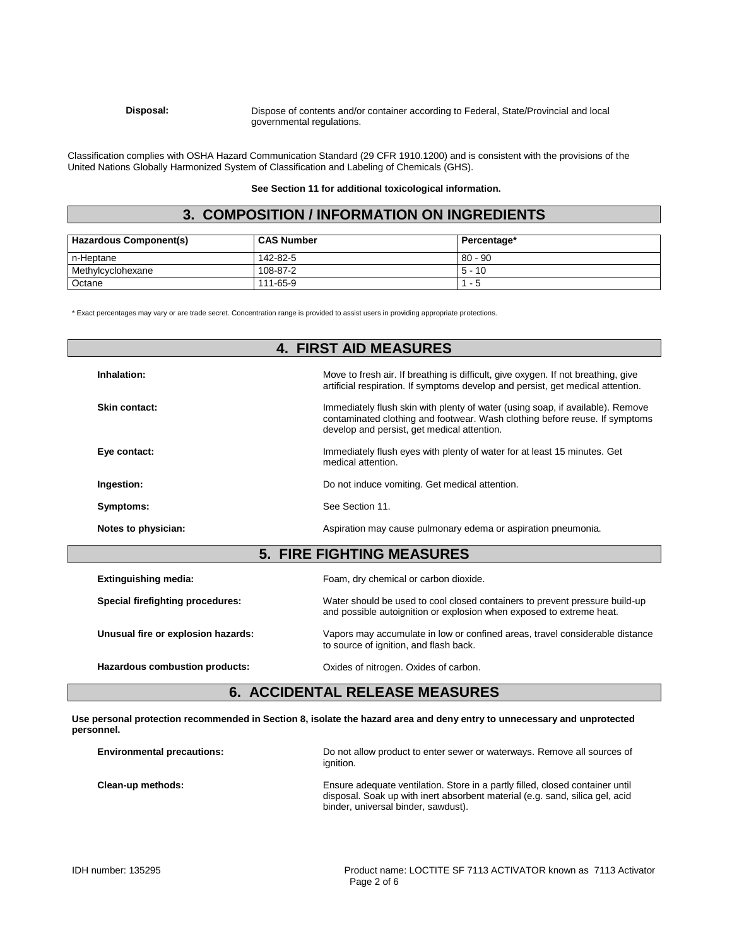#### **Disposal:** Dispose of contents and/or container according to Federal, State/Provincial and local governmental regulations.

Classification complies with OSHA Hazard Communication Standard (29 CFR 1910.1200) and is consistent with the provisions of the United Nations Globally Harmonized System of Classification and Labeling of Chemicals (GHS).

#### **See Section 11 for additional toxicological information.**

# **3. COMPOSITION / INFORMATION ON INGREDIENTS**

| <b>Hazardous Component(s)</b> | <b>CAS Number</b> | Percentage* |
|-------------------------------|-------------------|-------------|
| n-Heptane                     | 142-82-5          | $80 - 90$   |
| Methylcyclohexane             | 108-87-2          | $5 - 10$    |
| Octane                        | 111-65-9          | $1 - 5$     |

\* Exact percentages may vary or are trade secret. Concentration range is provided to assist users in providing appropriate protections.

|                                    | <b>4. FIRST AID MEASURES</b>                                                                                                                                                                                 |
|------------------------------------|--------------------------------------------------------------------------------------------------------------------------------------------------------------------------------------------------------------|
| Inhalation:                        | Move to fresh air. If breathing is difficult, give oxygen. If not breathing, give<br>artificial respiration. If symptoms develop and persist, get medical attention.                                         |
| Skin contact:                      | Immediately flush skin with plenty of water (using soap, if available). Remove<br>contaminated clothing and footwear. Wash clothing before reuse. If symptoms<br>develop and persist, get medical attention. |
| Eye contact:                       | Immediately flush eyes with plenty of water for at least 15 minutes. Get<br>medical attention.                                                                                                               |
| Ingestion:                         | Do not induce vomiting. Get medical attention.                                                                                                                                                               |
| Symptoms:                          | See Section 11.                                                                                                                                                                                              |
| Notes to physician:                | Aspiration may cause pulmonary edema or aspiration pneumonia.                                                                                                                                                |
|                                    | <b>5. FIRE FIGHTING MEASURES</b>                                                                                                                                                                             |
| <b>Extinguishing media:</b>        | Foam, dry chemical or carbon dioxide.                                                                                                                                                                        |
| Special firefighting procedures:   | Water should be used to cool closed containers to prevent pressure build-up<br>and possible autoignition or explosion when exposed to extreme heat.                                                          |
| Unusual fire or explosion hazards: | Vapors may accumulate in low or confined areas, travel considerable distance<br>to source of ignition, and flash back.                                                                                       |
| Hazardous combustion products:     | Oxides of nitrogen. Oxides of carbon.                                                                                                                                                                        |

## **6. ACCIDENTAL RELEASE MEASURES**

**Use personal protection recommended in Section 8, isolate the hazard area and deny entry to unnecessary and unprotected personnel.**

| <b>Environmental precautions:</b> | Do not allow product to enter sewer or waterways. Remove all sources of<br>ianition.                                                                                                                 |
|-----------------------------------|------------------------------------------------------------------------------------------------------------------------------------------------------------------------------------------------------|
| Clean-up methods:                 | Ensure adequate ventilation. Store in a partly filled, closed container until<br>disposal. Soak up with inert absorbent material (e.g. sand, silica gel, acid<br>binder, universal binder, sawdust). |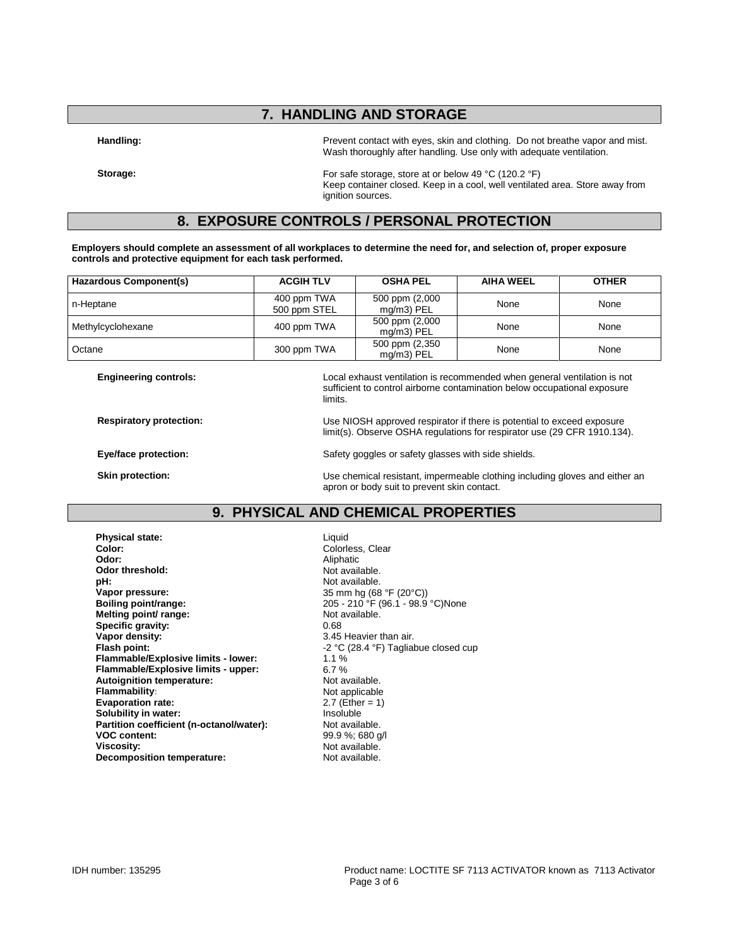## **7. HANDLING AND STORAGE**

Handling: **Handling: Prevent contact with eyes, skin and clothing.** Do not breathe vapor and mist. Wash thoroughly after handling. Use only with adequate ventilation.

**Storage:** For safe storage, store at or below 49 °C (120.2 °F) Keep container closed. Keep in a cool, well ventilated area. Store away from ignition sources.

## **8. EXPOSURE CONTROLS / PERSONAL PROTECTION**

**Employers should complete an assessment of all workplaces to determine the need for, and selection of, proper exposure controls and protective equipment for each task performed.**

| Hazardous Component(s) | <b>ACGIH TLV</b>            | <b>OSHA PEL</b>                 | <b>AIHA WEEL</b> | <b>OTHER</b> |
|------------------------|-----------------------------|---------------------------------|------------------|--------------|
| n-Heptane              | 400 ppm TWA<br>500 ppm STEL | 500 ppm (2,000<br>$mq/m3$ ) PEL | None             | None         |
| Methylcyclohexane      | 400 ppm TWA                 | 500 ppm (2,000<br>mg/m3) PEL    | None             | None         |
| Octane                 | 300 ppm TWA                 | 500 ppm (2,350<br>mg/m3) PEL    | None             | None         |

**Engineering controls:** Local exhaust ventilation is recommended when general ventilation is not sufficient to control airborne contamination below occupational exposure limits.

limit(s). Observe OSHA regulations for respirator use (29 CFR 1910.134).

**Respiratory protection:** Use NIOSH approved respirator if there is potential to exceed exposure

**Eye/face protection:** Safety goggles or safety glasses with side shields.

**Skin protection:** Use chemical resistant, impermeable clothing including gloves and either an apron or body suit to prevent skin contact.

## **9. PHYSICAL AND CHEMICAL PROPERTIES**

**Physical state:** Liquid Color: Liquid Color: Liquid Color: **Color:** Coloress, Clear<br> **Color:** Coloress, Clear<br>
Aliphatic Aliphatic Odor threshold:<br>pH: **pH:**  $\blacksquare$  Not available.<br> **Vapor pressure:**  $\blacksquare$  25 mm hg (68 **Vapor pressure:** 35 mm hg (68 °F (20°C))<br> **Boiling point/range:** 205 - 210 °F (96.1 - 98.9 **Melting point/ range: Specific gravity:** 0.68<br> **Vapor density:** 3.45 **Vapor density:**<br> **Flash point:**<br> **Flash point:**<br> **SALACTE:**<br>  $-2 °C (28.4 °F)$  Taglia **Flammable/Explosive limits - lower:** 1.1 % **Flammable/Explosive limits - upper:** 6.7 % **Autoignition temperature:**<br>Flammability: **Evaporation rate:** 2.7 (Ether = 1)<br> **Solubility in water:** 2.7 (Ether = 1) **Solubility in water: Partition coefficient (n-octanol/water):** Not available.<br>**VOC content:** 99.9 %: 680 q **Viscosity: Viscosity:** Not available.<br> **Decomposition temperature:** Not available. **Decomposition temperature:** 

Aliphatic<br>Not available. 205 - 210 °F (96.1 - 98.9 °C)None<br>Not available. **Flash point:** -2 °C (28.4 °F) Tagliabue closed cup **Not applicable VOC content:** 99.9 %; 680 g/l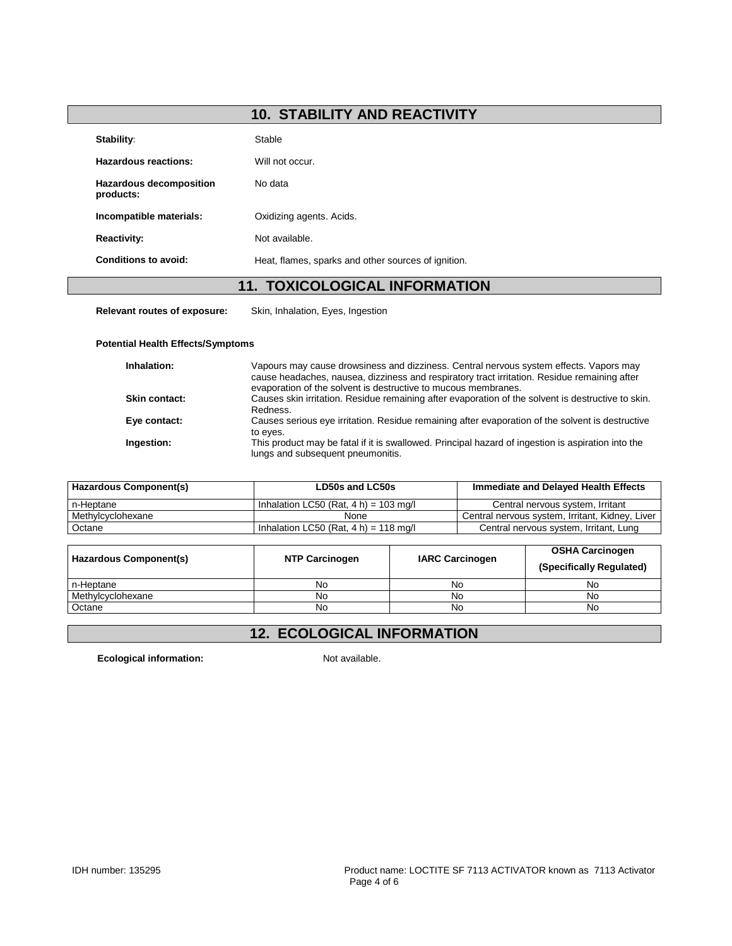# **10. STABILITY AND REACTIVITY**

| Stability:                                  | Stable                                              |
|---------------------------------------------|-----------------------------------------------------|
| Hazardous reactions:                        | Will not occur.                                     |
| <b>Hazardous decomposition</b><br>products: | No data                                             |
| Incompatible materials:                     | Oxidizing agents. Acids.                            |
| <b>Reactivity:</b>                          | Not available.                                      |
| Conditions to avoid:                        | Heat, flames, sparks and other sources of ignition. |
|                                             | <b>11. TOXICOLOGICAL INFORMATION</b>                |

**Relevant routes of exposure:** Skin, Inhalation, Eyes, Ingestion

#### **Potential Health Effects/Symptoms**

| Inhalation:          | Vapours may cause drowsiness and dizziness. Central nervous system effects. Vapors may<br>cause headaches, nausea, dizziness and respiratory tract irritation. Residue remaining after<br>evaporation of the solvent is destructive to mucous membranes. |
|----------------------|----------------------------------------------------------------------------------------------------------------------------------------------------------------------------------------------------------------------------------------------------------|
| <b>Skin contact:</b> | Causes skin irritation. Residue remaining after evaporation of the solvent is destructive to skin.<br>Redness.                                                                                                                                           |
| Eye contact:         | Causes serious eye irritation. Residue remaining after evaporation of the solvent is destructive<br>to eyes.                                                                                                                                             |
| Ingestion:           | This product may be fatal if it is swallowed. Principal hazard of ingestion is aspiration into the<br>lungs and subsequent pneumonitis.                                                                                                                  |

| Hazardous Component(s) | LD50s and LC50s                          | Immediate and Delayed Health Effects            |  |
|------------------------|------------------------------------------|-------------------------------------------------|--|
| n-Heptane              | Inhalation LC50 (Rat. 4 h) = 103 mg/l    | Central nervous system, Irritant                |  |
| Methylcyclohexane      | None                                     | Central nervous system, Irritant, Kidney, Liver |  |
| Octane                 | Inhalation LC50 (Rat, $4 h$ ) = 118 mg/l | Central nervous system, Irritant, Lung          |  |

| <b>Hazardous Component(s)</b> | <b>NTP Carcinogen</b> | <b>IARC Carcinogen</b> | <b>OSHA Carcinogen</b><br>(Specifically Regulated) |
|-------------------------------|-----------------------|------------------------|----------------------------------------------------|
| n-Heptane                     | No                    | No                     | No                                                 |
| Methylcyclohexane             | No                    | No                     | No                                                 |
| Octane                        | No                    | No                     | No                                                 |

## **12. ECOLOGICAL INFORMATION**

**Ecological information:** Not available.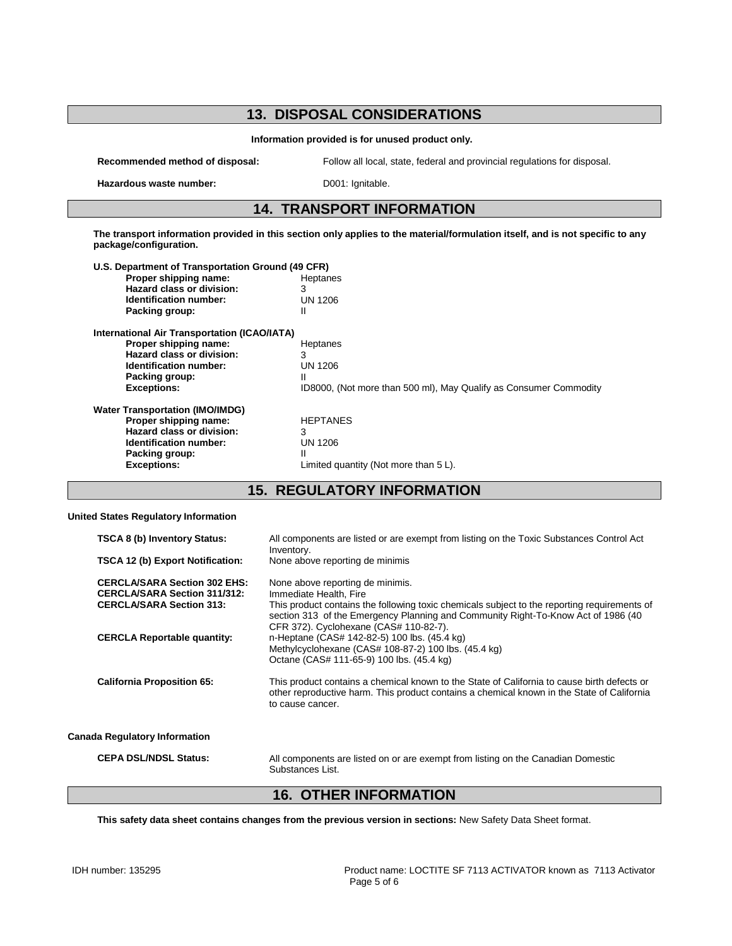### **13. DISPOSAL CONSIDERATIONS Information provided is for unused product only. Recommended method of disposal:** Follow all local, state, federal and provincial regulations for disposal. Hazardous waste number: D001: Ignitable. **14. TRANSPORT INFORMATION The transport information provided in this section only applies to the material/formulation itself, and is not specific to any package/configuration. U.S. Department of Transportation Ground (49 CFR) Proper shipping name:** Heptanes<br> **Hazard class or division:** 3 **Hazard class or division:** 3<br> **Identification number:** UN 1206 **Identification number:** U<br> **Packing group:** II **Packing group: International Air Transportation (ICAO/IATA) Proper shipping name:** Heptanes **Hazard class or division:** 3<br> **Identification number:** UN 1206 **Identification number: Packing group:** II<br>Exceptions: II **Exceptions:** ID8000, (Not more than 500 ml), May Qualify as Consumer Commodity **Water Transportation (IMO/IMDG) Proper shipping name:** HEPTANES<br> **Hazard class or division:** 3 **Hazard class or division:** 3<br> **Identification number:** UN 1206 **Identification number:** UN 1206 UN 1206 UN 1206 UN 1206 UN 1206 UN 1206 UN 1206 UN 1206 UN 1206 UN 1206 UN 1206 UN 1206 UN 1206 UN 1206 UN 1206 UN 1206 UN 1206 UN 1206 UN 1206 UN 1206 UN 1206 UN 1206 UN 1206 UN 1206 UN 12 **Packing group:**<br>Exceptions: Limited quantity (Not more than 5 L).

### **15. REGULATORY INFORMATION**

#### **United States Regulatory Information**

| <b>TSCA 8 (b) Inventory Status:</b><br>TSCA 12 (b) Export Notification:                                       | All components are listed or are exempt from listing on the Toxic Substances Control Act<br>Inventory.<br>None above reporting de minimis                                                                                                                                                 |
|---------------------------------------------------------------------------------------------------------------|-------------------------------------------------------------------------------------------------------------------------------------------------------------------------------------------------------------------------------------------------------------------------------------------|
| <b>CERCLA/SARA Section 302 EHS:</b><br><b>CERCLA/SARA Section 311/312:</b><br><b>CERCLA/SARA Section 313:</b> | None above reporting de minimis.<br>Immediate Health, Fire<br>This product contains the following toxic chemicals subject to the reporting requirements of<br>section 313 of the Emergency Planning and Community Right-To-Know Act of 1986 (40<br>CFR 372). Cyclohexane (CAS# 110-82-7). |
| <b>CERCLA Reportable quantity:</b>                                                                            | n-Heptane (CAS# 142-82-5) 100 lbs. (45.4 kg)<br>Methylcyclohexane (CAS# 108-87-2) 100 lbs. (45.4 kg)<br>Octane (CAS# 111-65-9) 100 lbs. (45.4 kg)                                                                                                                                         |
| <b>California Proposition 65:</b>                                                                             | This product contains a chemical known to the State of California to cause birth defects or<br>other reproductive harm. This product contains a chemical known in the State of California<br>to cause cancer.                                                                             |
| <b>Canada Regulatory Information</b>                                                                          |                                                                                                                                                                                                                                                                                           |
| <b>CEPA DSL/NDSL Status:</b>                                                                                  | All components are listed on or are exempt from listing on the Canadian Domestic<br>Substances List.                                                                                                                                                                                      |

### **16. OTHER INFORMATION**

**This safety data sheet contains changes from the previous version in sections:** New Safety Data Sheet format.